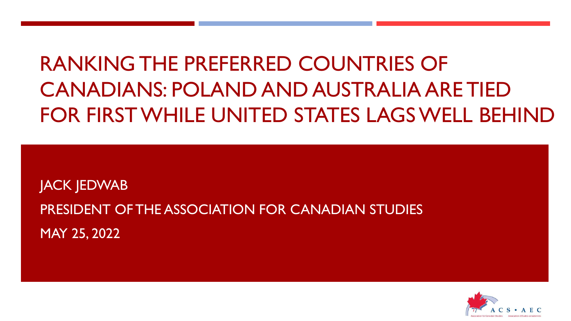# RANKING THE PREFERRED COUNTRIES OF CANADIANS: POLAND AND AUSTRALIA ARE TIED FOR FIRST WHILE UNITED STATES LAGS WELL BEHIND

JACK JEDWAB PRESIDENT OF THE ASSOCIATION FOR CANADIAN STUDIES MAY 25, 2022

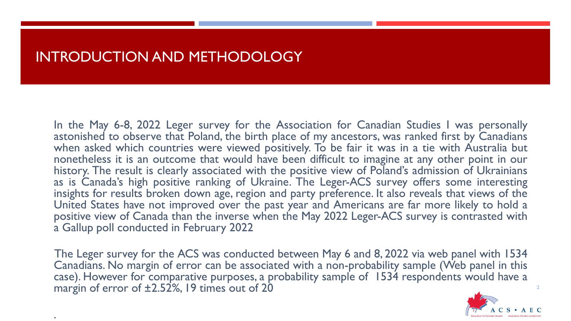### INTRODUCTION AND METHODOLOGY

.

In the May 6-8, 2022 Leger survey for the Association for Canadian Studies I was personally astonished to observe that Poland, the birth place of my ancestors, was ranked first by Canadians when asked which countries were viewed positively. To be fair it was in a tie with Australia but nonetheless it is an outcome that would have been difficult to imagine at any other point in our history. The result is clearly associated with the positive view of Poland's admission of Ukrainians as is Canada's high positive ranking of Ukraine. The Leger-ACS survey offers some interesting insights for results broken down age, region and party preference. It also reveals that views of the United States have not improved over the past year and Americans are far more likely to hold a positive view of Canada than the inverse when the May 2022 Leger-ACS survey is contrasted with a Gallup poll conducted in February 2022

The Leger survey for the ACS was conducted between May 6 and 8, 2022 via web panel with 1534 Canadians. No margin of error can be associated with a non-probability sample (Web panel in this case). However for comparative purposes, a probability sample of 1534 respondents would have a margin of error of  $\pm 2.52$ %, 19 times out of 20

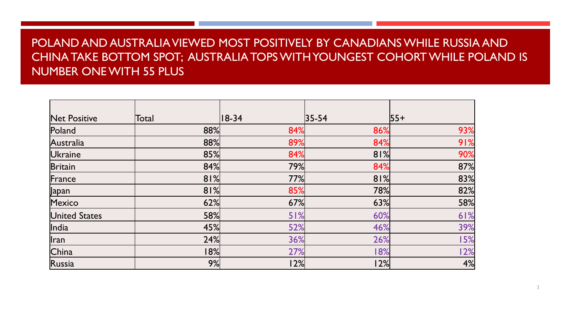#### POLAND AND AUSTRALIA VIEWED MOST POSITIVELY BY CANADIANS WHILE RUSSIA AND CHINA TAKE BOTTOM SPOT; AUSTRALIA TOPS WITH YOUNGEST COHORT WHILE POLAND IS NUMBER ONE WITH 55 PLUS

| <b>Net Positive</b>  | Total | $ 18-34 $ | $ 35 - 54 $ | $ 55+$ |
|----------------------|-------|-----------|-------------|--------|
| Poland               | 88%   | 84%       | 86%         | 93%    |
| Australia            | 88%   | 89%       | 84%         | 91%    |
| <b>Ukraine</b>       | 85%   | 84%       | 81%         | 90%    |
| <b>Britain</b>       | 84%   | 79%       | 84%         | 87%    |
| France               | 81%   | 77%       | 81%         | 83%    |
| Japan                | 81%   | 85%       | 78%         | 82%    |
| Mexico               | 62%   | 67%       | 63%         | 58%    |
| <b>United States</b> | 58%   | 51%       | 60%         | 61%    |
| India                | 45%   | 52%       | 46%         | 39%    |
| Iran                 | 24%   | 36%       | 26%         | 15%    |
| China                | 18%   | 27%       | 18%         | 12%    |
| Russia               | 9%    | 12%       | 12%         | 4%     |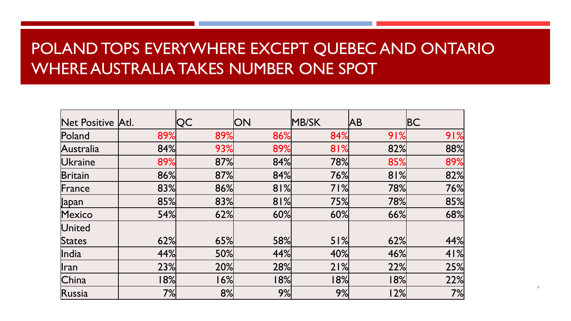# POLAND TOPS EVERYWHERE EXCEPT QUEBEC AND ONTARIO WHERE AUSTRALIA TAKES NUMBER ONE SPOT

| Net Positive Atl.        |     | QC  | <b>ON</b> | MB/SK | <b>JAB</b> | BC  |
|--------------------------|-----|-----|-----------|-------|------------|-----|
| Poland                   | 89% | 89% | 86%       | 84%   | 91%        | 91% |
| Australia                | 84% | 93% | 89%       | 81%   | 82%        | 88% |
| <b>Ukraine</b>           | 89% | 87% | 84%       | 78%   | 85%        | 89% |
| <b>Britain</b>           | 86% | 87% | 84%       | 76%   | 81%        | 82% |
| France                   | 83% | 86% | 81%       | 71%   | 78%        | 76% |
| $\sqrt{\mathsf{p}}$ apan | 85% | 83% | 81%       | 75%   | 78%        | 85% |
| Mexico                   | 54% | 62% | 60%       | 60%   | 66%        | 68% |
| United                   |     |     |           |       |            |     |
| States                   | 62% | 65% | 58%       | 51%   | 62%        | 44% |
| India                    | 44% | 50% | 44%       | 40%   | 46%        | 41% |
| $\ $ ran                 | 23% | 20% | 28%       | 21%   | 22%        | 25% |
| China                    | 18% | 16% | 18%       | 18%   | 18%        | 22% |
| Russia                   | 7%  | 8%  | 9%        | 9%    | 12%        | 7%  |

4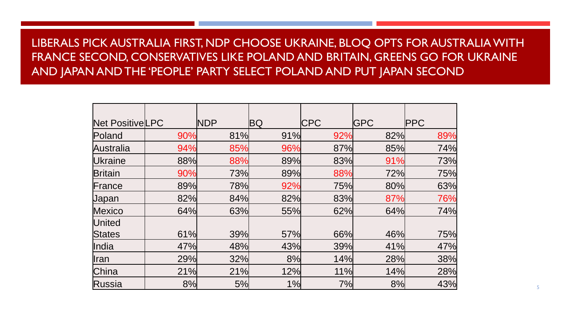### LIBERALS PICK AUSTRALIA FIRST, NDP CHOOSE UKRAINE, BLOQ OPTS FOR AUSTRALIA WITH FRANCE SECOND, CONSERVATIVES LIKE POLAND AND BRITAIN, GREENS GO FOR UKRAINE AND JAPAN AND THE 'PEOPLE' PARTY SELECT POLAND AND PUT JAPAN SECOND

| Net PositiveLPC |     | <b>NDP</b> | ΒQ  | <b>CPC</b> | <b>IGPC</b> | <b>PPC</b> |
|-----------------|-----|------------|-----|------------|-------------|------------|
|                 |     |            |     |            |             |            |
| Poland          | 90% | 81%        | 91% | 92%        | 82%         | 89%        |
| Australia       | 94% | 85%        | 96% | 87%        | 85%         | 74%        |
| Ukraine         | 88% | 88%        | 89% | 83%        | 91%         | 73%        |
| <b>Britain</b>  | 90% | 73%        | 89% | 88%        | 72%         | 75%        |
| France          | 89% | 78%        | 92% | 75%        | 80%         | 63%        |
| <b>Japan</b>    | 82% | 84%        | 82% | 83%        | 87%         | 76%        |
| <b>Mexico</b>   | 64% | 63%        | 55% | 62%        | 64%         | 74%        |
| United          |     |            |     |            |             |            |
| <b>States</b>   | 61% | 39%        | 57% | 66%        | 46%         | 75%        |
| India           | 47% | 48%        | 43% | 39%        | 41%         | 47%        |
| llran           | 29% | 32%        | 8%  | 14%        | 28%         | 38%        |
| China           | 21% | 21%        | 12% | 11%        | 14%         | 28%        |
| Russia          | 8%  | 5%         | 1%  | 7%         | 8%          | 43%        |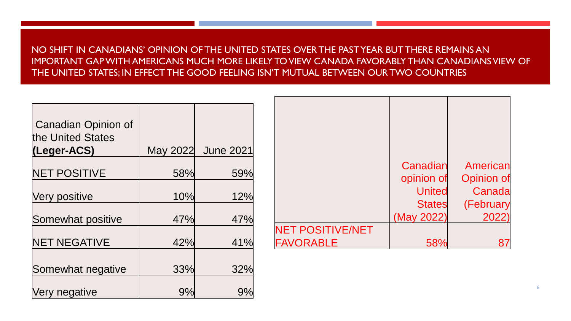NO SHIFT IN CANADIANS' OPINION OF THE UNITED STATES OVER THE PAST YEAR BUT THERE REMAINS AN IMPORTANT GAP WITH AMERICANS MUCH MORE LIKELY TO VIEW CANADA FAVORABLY THAN CANADIANS VIEW OF THE UNITED STATES; IN EFFECT THE GOOD FEELING ISN'T MUTUAL BETWEEN OUR TWO COUNTRIES

| <b>Canadian Opinion of</b><br>the United States<br>(Leger-ACS) | May 2022 | <b>June 2021</b> |
|----------------------------------------------------------------|----------|------------------|
| <b>NET POSITIVE</b>                                            | 58%      | 59%              |
| Very positive                                                  | 10%      | 12%              |
| Somewhat positive                                              | 47%      | 47%              |
| <b>NET NEGATIVE</b>                                            | 42%      | 41%              |
| Somewhat negative                                              | 33%      | 32%              |
|                                                                |          |                  |
| Very negative                                                  | 9%       | 9%               |

|                         | Canadian      | American          |
|-------------------------|---------------|-------------------|
|                         | opinion of    | <b>Opinion of</b> |
|                         | <b>United</b> | Canada            |
|                         | <b>States</b> | (February         |
|                         | (May 2022)    | 2022              |
| <b>NET POSITIVE/NET</b> |               |                   |
| <b>FAVORABLE</b>        |               |                   |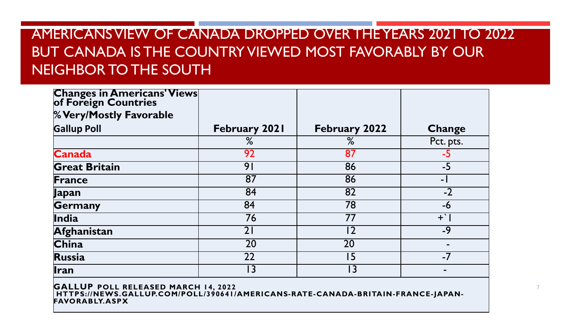## AMERICANS VIEW OF CANADA DROPPED OVER THE YEARS 2021 TO 2022 BUT CANADA IS THE COUNTRY VIEWED MOST FAVORABLY BY OUR NEIGHBOR TO THE SOUTH

| <b>Changes in Americans' Views</b><br>of Foreign Countries |                      |                      |                |
|------------------------------------------------------------|----------------------|----------------------|----------------|
| % Very/Mostly Favorable                                    |                      |                      |                |
| <b>Gallup Poll</b>                                         | <b>February 2021</b> | <b>February 2022</b> | <b>Change</b>  |
|                                                            | %                    | %                    | Pct. pts.      |
| <b>Canada</b>                                              | 92                   | 87                   | $-5$           |
| <b>Great Britain</b>                                       | 91                   | 86                   | $-5$           |
| France                                                     | 87                   | 86                   | $\overline{a}$ |
| Japan                                                      | 84                   | 82                   | $-2$           |
| Germany                                                    | 84                   | 78                   | $-6$           |
| India                                                      | 76                   | 77                   | $+$ $\cdot$    |
| Afghanistan                                                | 21                   | 12                   | $-9$           |
| <b>China</b>                                               | 20                   | 20                   |                |
| <b>Russia</b>                                              | 22                   | 15                   | $-7$           |
| Ilran                                                      | l 3                  | l 3                  |                |

**GALLUP POLL RELEASED MARCH 14, 2022 HTTPS://NEWS.GALLUP.COM/POLL/390641/AMERICANS-RATE-CANADA-BRITAIN-FRANCE-JAPAN-FAVORABLY.ASPX**

7